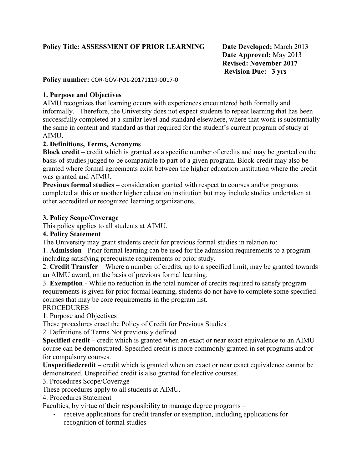## **Policy Title: ASSESSMENT OF PRIOR LEARNING Date Developed:** March 2013

**Date Approved:** May 2013 **Revised: November 2017 Revision Due: 3 yrs**

#### **Policy number:** COR-GOV-POL-20171119-0017-0

### **1. Purpose and Objectives**

AIMU recognizes that learning occurs with experiences encountered both formally and informally. Therefore, the University does not expect students to repeat learning that has been successfully completed at a similar level and standard elsewhere, where that work is substantially the same in content and standard as that required for the student's current program of study at AIMU.

### **2. Definitions, Terms, Acronyms**

**Block credit** – credit which is granted as a specific number of credits and may be granted on the basis of studies judged to be comparable to part of a given program. Block credit may also be granted where formal agreements exist between the higher education institution where the credit was granted and AIMU.

**Previous formal studies –** consideration granted with respect to courses and/or programs completed at this or another higher education institution but may include studies undertaken at other accredited or recognized learning organizations.

#### **3. Policy Scope/Coverage**

This policy applies to all students at AIMU.

### **4. Policy Statement**

The University may grant students credit for previous formal studies in relation to:

1. **Admission** - Prior formal learning can be used for the admission requirements to a program including satisfying prerequisite requirements or prior study.

2. **Credit Transfer** – Where a number of credits, up to a specified limit, may be granted towards an AIMU award, on the basis of previous formal learning.

3. **Exemption** - While no reduction in the total number of credits required to satisfy program requirements is given for prior formal learning, students do not have to complete some specified courses that may be core requirements in the program list.

### PROCEDURES

1. Purpose and Objectives

These procedures enact the Policy of Credit for Previous Studies

2. Definitions of Terms Not previously defined

**Specified credit** – credit which is granted when an exact or near exact equivalence to an AIMU course can be demonstrated. Specified credit is more commonly granted in set programs and/or for compulsory courses.

**Unspecifiedcredit** – credit which is granted when an exact or near exact equivalence cannot be demonstrated. Unspecified credit is also granted for elective courses.

3. Procedures Scope/Coverage

These procedures apply to all students at AIMU.

4. Procedures Statement

Faculties, by virtue of their responsibility to manage degree programs –

 receive applications for credit transfer or exemption, including applications for recognition of formal studies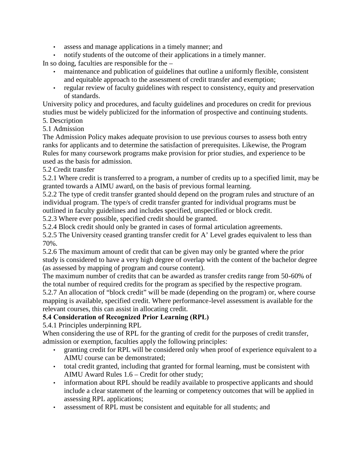- assess and manage applications in a timely manner; and
- notify students of the outcome of their applications in a timely manner.

In so doing, faculties are responsible for the –

- maintenance and publication of guidelines that outline a uniformly flexible, consistent and equitable approach to the assessment of credit transfer and exemption;
- regular review of faculty guidelines with respect to consistency, equity and preservation of standards.

University policy and procedures, and faculty guidelines and procedures on credit for previous studies must be widely publicized for the information of prospective and continuing students.

# 5. Description

5.1 Admission

The Admission Policy makes adequate provision to use previous courses to assess both entry ranks for applicants and to determine the satisfaction of prerequisites. Likewise, the Program Rules for many coursework programs make provision for prior studies, and experience to be used as the basis for admission.

### 5.2 Credit transfer

5.2.1 Where credit is transferred to a program, a number of credits up to a specified limit, may be granted towards a AIMU award, on the basis of previous formal learning.

5.2.2 The type of credit transfer granted should depend on the program rules and structure of an individual program. The type/s of credit transfer granted for individual programs must be outlined in faculty guidelines and includes specified, unspecified or block credit.

5.2.3 Where ever possible, specified credit should be granted.

5.2.4 Block credit should only be granted in cases of formal articulation agreements.

5.2.5 The University ceased granting transfer credit for A' Level grades equivalent to less than 70%.

5.2.6 The maximum amount of credit that can be given may only be granted where the prior study is considered to have a very high degree of overlap with the content of the bachelor degree (as assessed by mapping of program and course content).

The maximum number of credits that can be awarded as transfer credits range from 50-60% of the total number of required credits for the program as specified by the respective program.

5.2.7 An allocation of "block credit" will be made (depending on the program) or, where course mapping is available, specified credit. Where performance-level assessment is available for the relevant courses, this can assist in allocating credit.

## **5.4 Consideration of Recognized Prior Learning (RPL)**

5.4.1 Principles underpinning RPL

When considering the use of RPL for the granting of credit for the purposes of credit transfer, admission or exemption, faculties apply the following principles:

- granting credit for RPL will be considered only when proof of experience equivalent to a AIMU course can be demonstrated;
- total credit granted, including that granted for formal learning, must be consistent with AIMU Award Rules 1.6 – Credit for other study;
- information about RPL should be readily available to prospective applicants and should include a clear statement of the learning or competency outcomes that will be applied in assessing RPL applications;
- assessment of RPL must be consistent and equitable for all students; and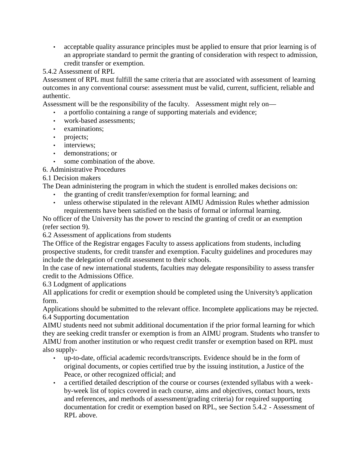acceptable quality assurance principles must be applied to ensure that prior learning is of an appropriate standard to permit the granting of consideration with respect to admission, credit transfer or exemption.

# 5.4.2 Assessment of RPL

Assessment of RPL must fulfill the same criteria that are associated with assessment of learning outcomes in any conventional course: assessment must be valid, current, sufficient, reliable and authentic.

Assessment will be the responsibility of the faculty. Assessment might rely on—

- a portfolio containing a range of supporting materials and evidence;
- work-based assessments;
- examinations;
- projects;
- interviews:
- demonstrations; or
- some combination of the above.
- 6. Administrative Procedures

## 6.1 Decision makers

The Dean administering the program in which the student is enrolled makes decisions on:

- the granting of credit transfer/exemption for formal learning; and
- unless otherwise stipulated in the relevant AIMU Admission Rules whether admission requirements have been satisfied on the basis of formal or informal learning.

No officer of the University has the power to rescind the granting of credit or an exemption (refer section 9).

6.2 Assessment of applications from students

The Office of the Registrar engages Faculty to assess applications from students, including prospective students, for credit transfer and exemption. Faculty guidelines and procedures may include the delegation of credit assessment to their schools.

In the case of new international students, faculties may delegate responsibility to assess transfer credit to the Admissions Office.

6.3 Lodgment of applications

All applications for credit or exemption should be completed using the University's application form.

Applications should be submitted to the relevant office. Incomplete applications may be rejected. 6.4 Supporting documentation

AIMU students need not submit additional documentation if the prior formal learning for which they are seeking credit transfer or exemption is from an AIMU program. Students who transfer to AIMU from another institution or who request credit transfer or exemption based on RPL must also supply-

- up-to-date, official academic records/transcripts. Evidence should be in the form of original documents, or copies certified true by the issuing institution, a Justice of the Peace, or other recognized official; and
- a certified detailed description of the course or courses (extended syllabus with a week by-week list of topics covered in each course, aims and objectives, contact hours, texts and references, and methods of assessment/grading criteria) for required supporting documentation for credit or exemption based on RPL, see Section 5.4.2 - Assessment of RPL above.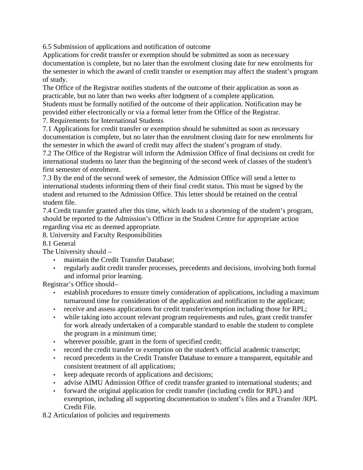6.5 Submission of applications and notification of outcome

Applications for credit transfer or exemption should be submitted as soon as necessary documentation is complete, but no later than the enrolment closing date for new enrolments for the semester in which the award of credit transfer or exemption may affect the student's program of study.

The Office of the Registrar notifies students of the outcome of their application as soon as practicable, but no later than two weeks after lodgment of a complete application.

Students must be formally notified of the outcome of their application. Notification may be provided either electronically or via a formal letter from the Office of the Registrar.

7. Requirements for International Students

7.1 Applications for credit transfer or exemption should be submitted as soon as necessary documentation is complete, but no later than the enrolment closing date for new enrolments for the semester in which the award of credit may affect the student's program of study.

7.2 The Office of the Registrar will inform the Admission Office of final decisions on credit for international students no later than the beginning of the second week of classes of the student's first semester of enrolment.

7.3 By the end of the second week of semester, the Admission Office will send a letter to international students informing them of their final credit status. This must be signed by the student and returned to the Admission Office. This letter should be retained on the central student file.

7.4 Credit transfer granted after this time, which leads to a shortening of the student's program, should be reported to the Admission's Officer in the Student Centre for appropriate action regarding visa etc as deemed appropriate.

8. University and Faculty Responsibilities

# 8.1 General

The University should –

- maintain the Credit Transfer Database;
- regularly audit credit transfer processes, precedents and decisions, involving both formal and informal prior learning.

Registrar's Office should–

- establish procedures to ensure timely consideration of applications, including a maximum turnaround time for consideration of the application and notification to the applicant;
- receive and assess applications for credit transfer/exemption including those for RPL;
- while taking into account relevant program requirements and rules, grant credit transfer for work already undertaken of a comparable standard to enable the student to complete the program in a minimum time;
- wherever possible, grant in the form of specified credit;
- record the credit transfer or exemption on the student's official academic transcript;
- record precedents in the Credit Transfer Database to ensure a transparent, equitable and consistent treatment of all applications;
- keep adequate records of applications and decisions;
- advise AIMU Admission Office of credit transfer granted to international students; and
- forward the original application for credit transfer (including credit for RPL) and exemption, including all supporting documentation to student's files and a Transfer /RPL Credit File.
- 8.2 Articulation of policies and requirements